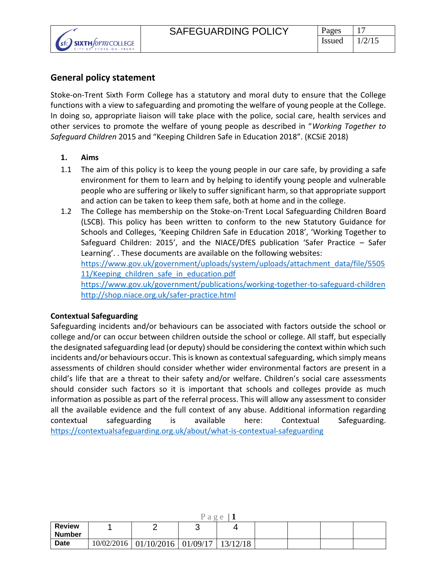

# **General policy statement**

Stoke-on-Trent Sixth Form College has a statutory and moral duty to ensure that the College functions with a view to safeguarding and promoting the welfare of young people at the College. In doing so, appropriate liaison will take place with the police, social care, health services and other services to promote the welfare of young people as described in "*Working Together to Safeguard Children* 2015 and "Keeping Children Safe in Education 2018". (KCSiE 2018)

- **1. Aims**
- 1.1 The aim of this policy is to keep the young people in our care safe, by providing a safe environment for them to learn and by helping to identify young people and vulnerable people who are suffering or likely to suffer significant harm, so that appropriate support and action can be taken to keep them safe, both at home and in the college.
- 1.2 The College has membership on the Stoke-on-Trent Local Safeguarding Children Board (LSCB). This policy has been written to conform to the new Statutory Guidance for Schools and Colleges, 'Keeping Children Safe in Education 2018', 'Working Together to Safeguard Children: 2015', and the NIACE/DfES publication 'Safer Practice – Safer Learning'. . These documents are available on the following websites: [https://www.gov.uk/government/uploads/system/uploads/attachment\\_data/file/5505](https://www.gov.uk/government/uploads/system/uploads/attachment_data/file/550511/Keeping_children_safe_in_education.pdf)

11/Keeping children safe in education.pdf https://www.gov.uk/government/publications/working-together-to-safeguard-children

<http://shop.niace.org.uk/safer-practice.html>

## **Contextual Safeguarding**

Safeguarding incidents and/or behaviours can be associated with factors outside the school or college and/or can occur between children outside the school or college. All staff, but especially the designated safeguarding lead (or deputy) should be considering the context within which such incidents and/or behaviours occur. This is known as contextual safeguarding, which simply means assessments of children should consider whether wider environmental factors are present in a child's life that are a threat to their safety and/or welfare. Children's social care assessments should consider such factors so it is important that schools and colleges provide as much information as possible as part of the referral process. This will allow any assessment to consider all the available evidence and the full context of any abuse. Additional information regarding contextual safeguarding is available here: Contextual Safeguarding. <https://contextualsafeguarding.org.uk/about/what-is-contextual-safeguarding>

|                                |            |            |          | . .      |  |  |
|--------------------------------|------------|------------|----------|----------|--|--|
| <b>Review</b><br><b>Number</b> |            |            |          |          |  |  |
|                                |            |            |          |          |  |  |
| <b>Date</b>                    | 10/02/2016 | 01/10/2016 | 01/09/17 | 13/12/18 |  |  |

 $P$  a  $\sigma$   $\approx$  | 1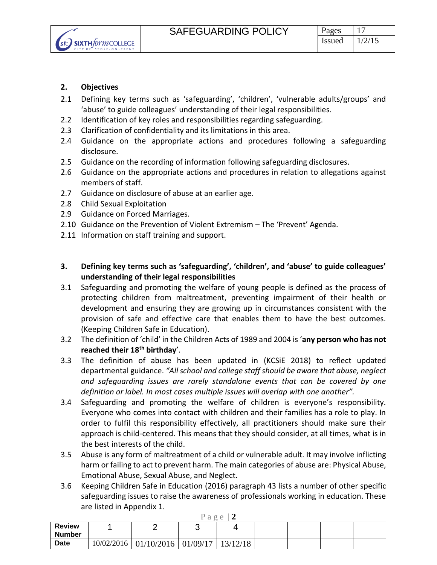

## **2. Objectives**

- 2.1 Defining key terms such as 'safeguarding', 'children', 'vulnerable adults/groups' and 'abuse' to guide colleagues' understanding of their legal responsibilities.
- 2.2 Identification of key roles and responsibilities regarding safeguarding.
- 2.3 Clarification of confidentiality and its limitations in this area.
- 2.4 Guidance on the appropriate actions and procedures following a safeguarding disclosure.
- 2.5 Guidance on the recording of information following safeguarding disclosures.
- 2.6 Guidance on the appropriate actions and procedures in relation to allegations against members of staff.
- 2.7 Guidance on disclosure of abuse at an earlier age.
- 2.8 Child Sexual Exploitation
- 2.9 Guidance on Forced Marriages.
- 2.10 Guidance on the Prevention of Violent Extremism The 'Prevent' Agenda.
- 2.11 Information on staff training and support.
- **3. Defining key terms such as 'safeguarding', 'children', and 'abuse' to guide colleagues' understanding of their legal responsibilities**
- 3.1 Safeguarding and promoting the welfare of young people is defined as the process of protecting children from maltreatment, preventing impairment of their health or development and ensuring they are growing up in circumstances consistent with the provision of safe and effective care that enables them to have the best outcomes. (Keeping Children Safe in Education).
- 3.2 The definition of 'child' in the Children Acts of 1989 and 2004 is '**any person who has not reached their 18th birthday**'.
- 3.3 The definition of abuse has been updated in (KCSiE 2018) to reflect updated departmental guidance. *"All school and college staff should be aware that abuse, neglect and safeguarding issues are rarely standalone events that can be covered by one definition or label. In most cases multiple issues will overlap with one another".*
- 3.4 Safeguarding and promoting the welfare of children is everyone's responsibility. Everyone who comes into contact with children and their families has a role to play. In order to fulfil this responsibility effectively, all practitioners should make sure their approach is child-centered. This means that they should consider, at all times, what is in the best interests of the child.
- 3.5 Abuse is any form of maltreatment of a child or vulnerable adult. It may involve inflicting harm or failing to act to prevent harm. The main categories of abuse are: Physical Abuse, Emotional Abuse, Sexual Abuse, and Neglect.
- 3.6 Keeping Children Safe in Education (2016) paragraph 43 lists a number of other specific safeguarding issues to raise the awareness of professionals working in education. These are listed in Appendix 1.

| <b>Review</b><br><b>Number</b> |                           |          |          |  |  |
|--------------------------------|---------------------------|----------|----------|--|--|
| <b>Date</b>                    | $10/02/2016$   01/10/2016 | 01/09/17 | 13/12/18 |  |  |

|--|--|--|--|--|--|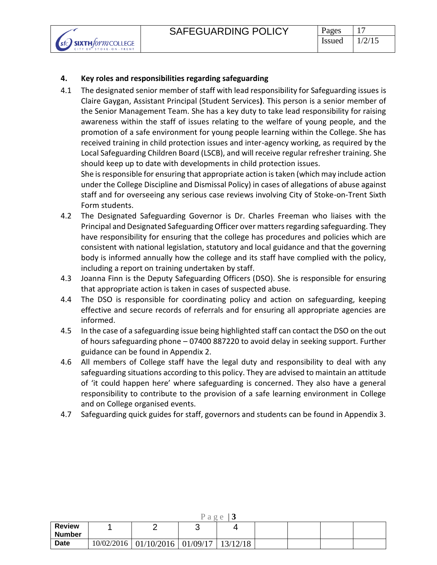

# **4. Key roles and responsibilities regarding safeguarding**

4.1 The designated senior member of staff with lead responsibility for Safeguarding issues is Claire Gaygan, Assistant Principal (Student Services**)**. This person is a senior member of the Senior Management Team. She has a key duty to take lead responsibility for raising awareness within the staff of issues relating to the welfare of young people, and the promotion of a safe environment for young people learning within the College. She has received training in child protection issues and inter-agency working, as required by the Local Safeguarding Children Board (LSCB), and will receive regular refresher training. She should keep up to date with developments in child protection issues.

She is responsible for ensuring that appropriate action is taken (which may include action under the College Discipline and Dismissal Policy) in cases of allegations of abuse against staff and for overseeing any serious case reviews involving City of Stoke-on-Trent Sixth Form students.

- 4.2 The Designated Safeguarding Governor is Dr. Charles Freeman who liaises with the Principal and Designated Safeguarding Officer over matters regarding safeguarding. They have responsibility for ensuring that the college has procedures and policies which are consistent with national legislation, statutory and local guidance and that the governing body is informed annually how the college and its staff have complied with the policy, including a report on training undertaken by staff.
- 4.3 Joanna Finn is the Deputy Safeguarding Officers (DSO). She is responsible for ensuring that appropriate action is taken in cases of suspected abuse.
- 4.4 The DSO is responsible for coordinating policy and action on safeguarding, keeping effective and secure records of referrals and for ensuring all appropriate agencies are informed.
- 4.5 In the case of a safeguarding issue being highlighted staff can contact the DSO on the out of hours safeguarding phone – 07400 887220 to avoid delay in seeking support. Further guidance can be found in Appendix 2.
- 4.6 All members of College staff have the legal duty and responsibility to deal with any safeguarding situations according to this policy. They are advised to maintain an attitude of 'it could happen here' where safeguarding is concerned. They also have a general responsibility to contribute to the provision of a safe learning environment in College and on College organised events.
- 4.7 Safeguarding quick guides for staff, governors and students can be found in Appendix 3.

|               |            |            | - - -    | $\overline{\phantom{a}}$ |  |  |
|---------------|------------|------------|----------|--------------------------|--|--|
| <b>Review</b> |            |            |          |                          |  |  |
| <b>Number</b> |            |            |          |                          |  |  |
| Date          | 10/02/2016 | 01/10/2016 | 01/09/17 | 13/12/18                 |  |  |

 $P$  a g e | **3**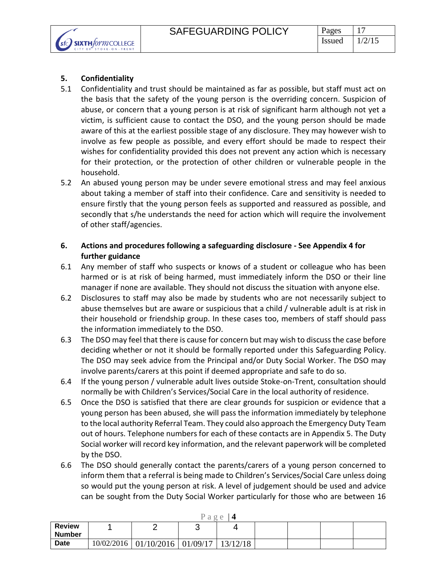## **5. Confidentiality**

- 5.1 Confidentiality and trust should be maintained as far as possible, but staff must act on the basis that the safety of the young person is the overriding concern. Suspicion of abuse, or concern that a young person is at risk of significant harm although not yet a victim, is sufficient cause to contact the DSO, and the young person should be made aware of this at the earliest possible stage of any disclosure. They may however wish to involve as few people as possible, and every effort should be made to respect their wishes for confidentiality provided this does not prevent any action which is necessary for their protection, or the protection of other children or vulnerable people in the household.
- 5.2 An abused young person may be under severe emotional stress and may feel anxious about taking a member of staff into their confidence. Care and sensitivity is needed to ensure firstly that the young person feels as supported and reassured as possible, and secondly that s/he understands the need for action which will require the involvement of other staff/agencies.

# **6. Actions and procedures following a safeguarding disclosure - See Appendix 4 for further guidance**

- 6.1 Any member of staff who suspects or knows of a student or colleague who has been harmed or is at risk of being harmed, must immediately inform the DSO or their line manager if none are available. They should not discuss the situation with anyone else.
- 6.2 Disclosures to staff may also be made by students who are not necessarily subject to abuse themselves but are aware or suspicious that a child / vulnerable adult is at risk in their household or friendship group. In these cases too, members of staff should pass the information immediately to the DSO.
- 6.3 The DSO may feel that there is cause for concern but may wish to discuss the case before deciding whether or not it should be formally reported under this Safeguarding Policy. The DSO may seek advice from the Principal and/or Duty Social Worker. The DSO may involve parents/carers at this point if deemed appropriate and safe to do so.
- 6.4 If the young person / vulnerable adult lives outside Stoke-on-Trent, consultation should normally be with Children's Services/Social Care in the local authority of residence.
- 6.5 Once the DSO is satisfied that there are clear grounds for suspicion or evidence that a young person has been abused, she will pass the information immediately by telephone to the local authority Referral Team. They could also approach the Emergency Duty Team out of hours. Telephone numbers for each of these contacts are in Appendix 5. The Duty Social worker will record key information, and the relevant paperwork will be completed by the DSO.
- 6.6 The DSO should generally contact the parents/carers of a young person concerned to inform them that a referral is being made to Children's Services/Social Care unless doing so would put the young person at risk. A level of judgement should be used and advice can be sought from the Duty Social Worker particularly for those who are between 16

|               |            |            | - - -    | $-$      |  |  |
|---------------|------------|------------|----------|----------|--|--|
| <b>Review</b> |            |            |          |          |  |  |
| Number        |            |            |          |          |  |  |
| <b>Date</b>   | 10/02/2016 | 01/10/2016 | 01/09/17 | 13/12/18 |  |  |

 $P$  a g e  $\mathbf{14}$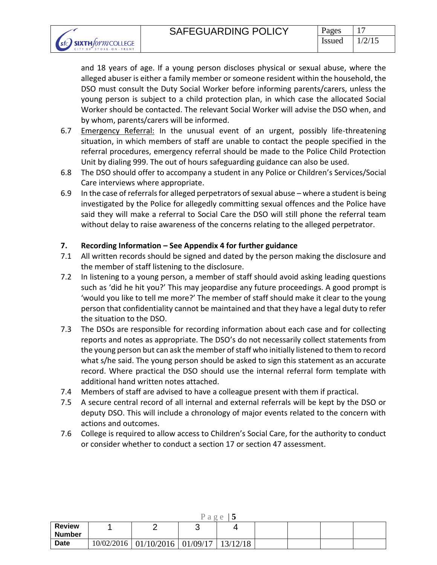

and 18 years of age. If a young person discloses physical or sexual abuse, where the alleged abuser is either a family member or someone resident within the household, the DSO must consult the Duty Social Worker before informing parents/carers, unless the young person is subject to a child protection plan, in which case the allocated Social Worker should be contacted. The relevant Social Worker will advise the DSO when, and by whom, parents/carers will be informed.

- 6.7 Emergency Referral: In the unusual event of an urgent, possibly life-threatening situation, in which members of staff are unable to contact the people specified in the referral procedures, emergency referral should be made to the Police Child Protection Unit by dialing 999. The out of hours safeguarding guidance can also be used.
- 6.8 The DSO should offer to accompany a student in any Police or Children's Services/Social Care interviews where appropriate.
- 6.9 In the case of referrals for alleged perpetrators of sexual abuse where a student is being investigated by the Police for allegedly committing sexual offences and the Police have said they will make a referral to Social Care the DSO will still phone the referral team without delay to raise awareness of the concerns relating to the alleged perpetrator.

# **7. Recording Information – See Appendix 4 for further guidance**

- 7.1 All written records should be signed and dated by the person making the disclosure and the member of staff listening to the disclosure.
- 7.2 In listening to a young person, a member of staff should avoid asking leading questions such as 'did he hit you?' This may jeopardise any future proceedings. A good prompt is 'would you like to tell me more?' The member of staff should make it clear to the young person that confidentiality cannot be maintained and that they have a legal duty to refer the situation to the DSO.
- 7.3 The DSOs are responsible for recording information about each case and for collecting reports and notes as appropriate. The DSO's do not necessarily collect statements from the young person but can ask the member of staff who initially listened to them to record what s/he said. The young person should be asked to sign this statement as an accurate record. Where practical the DSO should use the internal referral form template with additional hand written notes attached.
- 7.4 Members of staff are advised to have a colleague present with them if practical.
- 7.5 A secure central record of all internal and external referrals will be kept by the DSO or deputy DSO. This will include a chronology of major events related to the concern with actions and outcomes.
- 7.6 College is required to allow access to Children's Social Care, for the authority to conduct or consider whether to conduct a section 17 or section 47 assessment.

|               |            |                       | ___ | __       |  |  |
|---------------|------------|-----------------------|-----|----------|--|--|
| <b>Review</b> |            |                       |     |          |  |  |
| <b>Number</b> |            |                       |     |          |  |  |
| <b>Date</b>   | 10/02/2016 | $01/10/2016$ 01/09/17 |     | 13/12/18 |  |  |

P a g e | **5**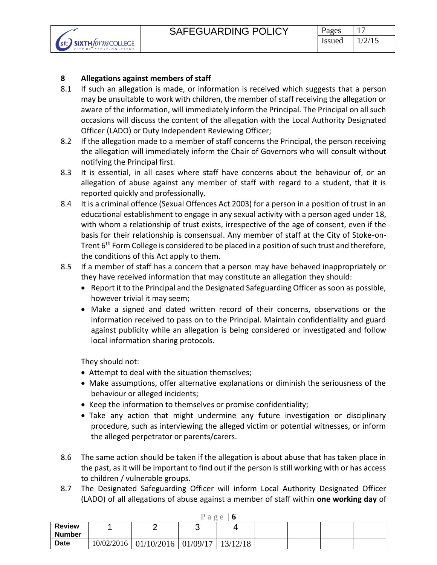

## **8 Allegations against members of staff**

- 8.1 If such an allegation is made, or information is received which suggests that a person may be unsuitable to work with children, the member of staff receiving the allegation or aware of the information, will immediately inform the Principal. The Principal on all such occasions will discuss the content of the allegation with the Local Authority Designated Officer (LADO) or Duty Independent Reviewing Officer;
- 8.2 If the allegation made to a member of staff concerns the Principal, the person receiving the allegation will immediately inform the Chair of Governors who will consult without notifying the Principal first.
- 8.3 It is essential, in all cases where staff have concerns about the behaviour of, or an allegation of abuse against any member of staff with regard to a student, that it is reported quickly and professionally.
- 8.4 It is a criminal offence (Sexual Offences Act 2003) for a person in a position of trust in an educational establishment to engage in any sexual activity with a person aged under 18, with whom a relationship of trust exists, irrespective of the age of consent, even if the basis for their relationship is consensual. Any member of staff at the City of Stoke-on-Trent 6<sup>th</sup> Form College is considered to be placed in a position of such trust and therefore, the conditions of this Act apply to them.
- 8.5 If a member of staff has a concern that a person may have behaved inappropriately or they have received information that may constitute an allegation they should:
	- Report it to the Principal and the Designated Safeguarding Officer as soon as possible, however trivial it may seem;
	- Make a signed and dated written record of their concerns, observations or the information received to pass on to the Principal. Maintain confidentiality and guard against publicity while an allegation is being considered or investigated and follow local information sharing protocols.

They should not:

- Attempt to deal with the situation themselves;
- Make assumptions, offer alternative explanations or diminish the seriousness of the behaviour or alleged incidents;
- Keep the information to themselves or promise confidentiality;
- Take any action that might undermine any future investigation or disciplinary procedure, such as interviewing the alleged victim or potential witnesses, or inform the alleged perpetrator or parents/carers.
- 8.6 The same action should be taken if the allegation is about abuse that has taken place in the past, as it will be important to find out if the person is still working with or has access to children / vulnerable groups.
- 8.7 The Designated Safeguarding Officer will inform Local Authority Designated Officer (LADO) of all allegations of abuse against a member of staff within **one working day** of

| <b>Review</b><br>Number |            |            |          |  |  |  |
|-------------------------|------------|------------|----------|--|--|--|
| <b>Date</b>             | 10/02/2016 | 01/10/2016 | 01/09/17 |  |  |  |

|  |  |  |  | <sub>0</sub> |
|--|--|--|--|--------------|
|--|--|--|--|--------------|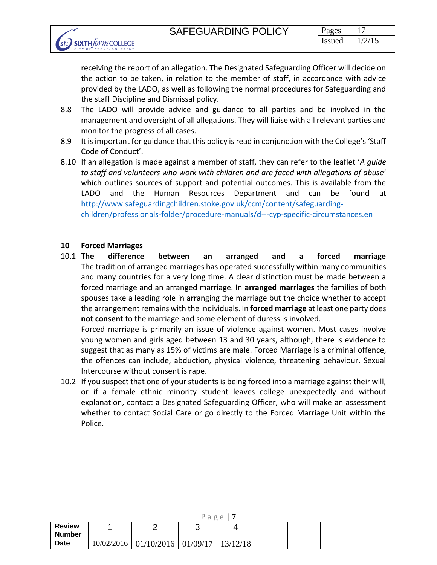receiving the report of an allegation. The Designated Safeguarding Officer will decide on the action to be taken, in relation to the member of staff, in accordance with advice provided by the LADO, as well as following the normal procedures for Safeguarding and the staff Discipline and Dismissal policy.

- 8.8 The LADO will provide advice and guidance to all parties and be involved in the management and oversight of all allegations. They will liaise with all relevant parties and monitor the progress of all cases.
- 8.9 It is important for guidance that this policy is read in conjunction with the College's 'Staff Code of Conduct'.
- 8.10 If an allegation is made against a member of staff, they can refer to the leaflet '*A guide to staff and volunteers who work with children and are faced with allegations of abuse*' which outlines sources of support and potential outcomes. This is available from the LADO and the Human Resources Department and can be found at [http://www.safeguardingchildren.stoke.gov.uk/ccm/content/safeguarding](http://www.safeguardingchildren.stoke.gov.uk/ccm/content/safeguarding-children/professionals-folder/procedure-manuals/d---cyp-specific-circumstances.en)[children/professionals-folder/procedure-manuals/d---cyp-specific-circumstances.en](http://www.safeguardingchildren.stoke.gov.uk/ccm/content/safeguarding-children/professionals-folder/procedure-manuals/d---cyp-specific-circumstances.en)

## **10 Forced Marriages**

10.1 **The difference between an arranged and a forced marriage** The tradition of arranged marriages has operated successfully within many communities and many countries for a very long time. A clear distinction must be made between a forced marriage and an arranged marriage. In **arranged marriages** the families of both spouses take a leading role in arranging the marriage but the choice whether to accept the arrangement remains with the individuals. In **forced marriage** at least one party does **not consent** to the marriage and some element of duress is involved.

Forced marriage is primarily an issue of violence against women. Most cases involve young women and girls aged between 13 and 30 years, although, there is evidence to suggest that as many as 15% of victims are male. Forced Marriage is a criminal offence, the offences can include, abduction, physical violence, threatening behaviour. Sexual Intercourse without consent is rape.

10.2 If you suspect that one of your students is being forced into a marriage against their will, or if a female ethnic minority student leaves college unexpectedly and without explanation, contact a Designated Safeguarding Officer, who will make an assessment whether to contact Social Care or go directly to the Forced Marriage Unit within the Police.

| <b>Review</b> |                         |          |          |  |  |
|---------------|-------------------------|----------|----------|--|--|
| <b>Number</b> |                         |          |          |  |  |
| <b>Date</b>   | $10/02/2016$ 01/10/2016 | 01/09/17 | 13/12/18 |  |  |

 $P$  a  $\sigma$   $\approx$   $\mathbf{17}$ 

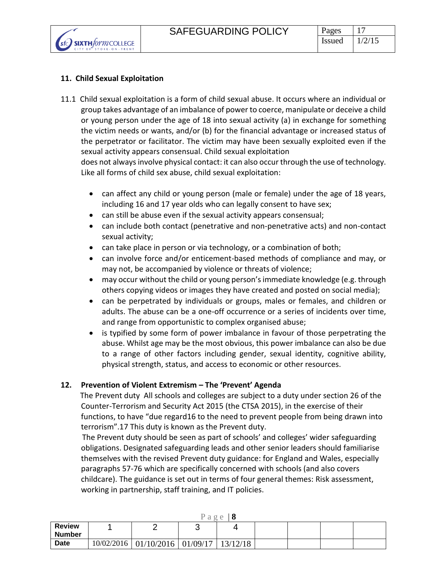

## **11. Child Sexual Exploitation**

11.1 Child sexual exploitation is a form of child sexual abuse. It occurs where an individual or group takes advantage of an imbalance of power to coerce, manipulate or deceive a child or young person under the age of 18 into sexual activity (a) in exchange for something the victim needs or wants, and/or (b) for the financial advantage or increased status of the perpetrator or facilitator. The victim may have been sexually exploited even if the sexual activity appears consensual. Child sexual exploitation

does not always involve physical contact: it can also occur through the use of technology. Like all forms of child sex abuse, child sexual exploitation:

- can affect any child or young person (male or female) under the age of 18 years, including 16 and 17 year olds who can legally consent to have sex;
- can still be abuse even if the sexual activity appears consensual;
- can include both contact (penetrative and non-penetrative acts) and non-contact sexual activity;
- can take place in person or via technology, or a combination of both;
- can involve force and/or enticement-based methods of compliance and may, or may not, be accompanied by violence or threats of violence;
- may occur without the child or young person's immediate knowledge (e.g. through others copying videos or images they have created and posted on social media);
- can be perpetrated by individuals or groups, males or females, and children or adults. The abuse can be a one-off occurrence or a series of incidents over time, and range from opportunistic to complex organised abuse;
- is typified by some form of power imbalance in favour of those perpetrating the abuse. Whilst age may be the most obvious, this power imbalance can also be due to a range of other factors including gender, sexual identity, cognitive ability, physical strength, status, and access to economic or other resources.

# **12. Prevention of Violent Extremism – The 'Prevent' Agenda**

 The Prevent duty All schools and colleges are subject to a duty under section 26 of the Counter-Terrorism and Security Act 2015 (the CTSA 2015), in the exercise of their functions, to have "due regard16 to the need to prevent people from being drawn into terrorism".17 This duty is known as the Prevent duty.

 The Prevent duty should be seen as part of schools' and colleges' wider safeguarding obligations. Designated safeguarding leads and other senior leaders should familiarise themselves with the revised Prevent duty guidance: for England and Wales, especially paragraphs 57-76 which are specifically concerned with schools (and also covers childcare). The guidance is set out in terms of four general themes: Risk assessment, working in partnership, staff training, and IT policies.

|                                |                                    | v        |  |  |
|--------------------------------|------------------------------------|----------|--|--|
| <b>Review</b><br><b>Number</b> |                                    |          |  |  |
| <b>Date</b>                    | 10/02/2016   01/10/2016   01/09/17 | 13/12/18 |  |  |

 $P$  a  $q \theta$  | **8**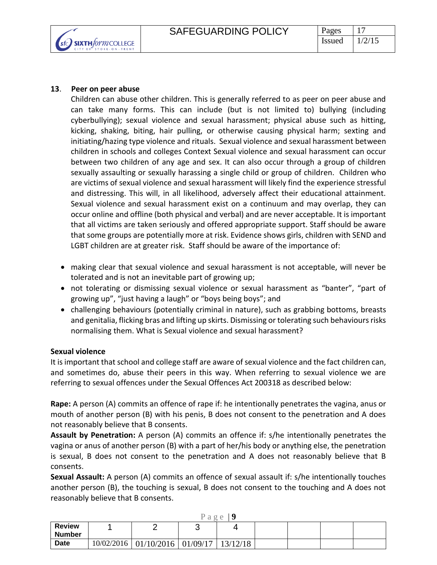

## **13**. **Peer on peer abuse**

Children can abuse other children. This is generally referred to as peer on peer abuse and can take many forms. This can include (but is not limited to) bullying (including cyberbullying); sexual violence and sexual harassment; physical abuse such as hitting, kicking, shaking, biting, hair pulling, or otherwise causing physical harm; sexting and initiating/hazing type violence and rituals. Sexual violence and sexual harassment between children in schools and colleges Context Sexual violence and sexual harassment can occur between two children of any age and sex. It can also occur through a group of children sexually assaulting or sexually harassing a single child or group of children. Children who are victims of sexual violence and sexual harassment will likely find the experience stressful and distressing. This will, in all likelihood, adversely affect their educational attainment. Sexual violence and sexual harassment exist on a continuum and may overlap, they can occur online and offline (both physical and verbal) and are never acceptable. It is important that all victims are taken seriously and offered appropriate support. Staff should be aware that some groups are potentially more at risk. Evidence shows girls, children with SEND and LGBT children are at greater risk. Staff should be aware of the importance of:

- making clear that sexual violence and sexual harassment is not acceptable, will never be tolerated and is not an inevitable part of growing up;
- not tolerating or dismissing sexual violence or sexual harassment as "banter", "part of growing up", "just having a laugh" or "boys being boys"; and
- challenging behaviours (potentially criminal in nature), such as grabbing bottoms, breasts and genitalia, flicking bras and lifting up skirts. Dismissing or tolerating such behaviours risks normalising them. What is Sexual violence and sexual harassment?

## **Sexual violence**

It is important that school and college staff are aware of sexual violence and the fact children can, and sometimes do, abuse their peers in this way. When referring to sexual violence we are referring to sexual offences under the Sexual Offences Act 200318 as described below:

**Rape:** A person (A) commits an offence of rape if: he intentionally penetrates the vagina, anus or mouth of another person (B) with his penis, B does not consent to the penetration and A does not reasonably believe that B consents.

**Assault by Penetration:** A person (A) commits an offence if: s/he intentionally penetrates the vagina or anus of another person (B) with a part of her/his body or anything else, the penetration is sexual, B does not consent to the penetration and A does not reasonably believe that B consents.

**Sexual Assault:** A person (A) commits an offence of sexual assault if: s/he intentionally touches another person (B), the touching is sexual, B does not consent to the touching and A does not reasonably believe that B consents.

|               |            |            | .        |          |  |  |
|---------------|------------|------------|----------|----------|--|--|
| <b>Review</b> |            |            |          |          |  |  |
| <b>Number</b> |            |            |          |          |  |  |
| Date          | 10/02/2016 | 01/10/2016 | 01/09/17 | 13/12/18 |  |  |

 $P$  a g e  $\theta$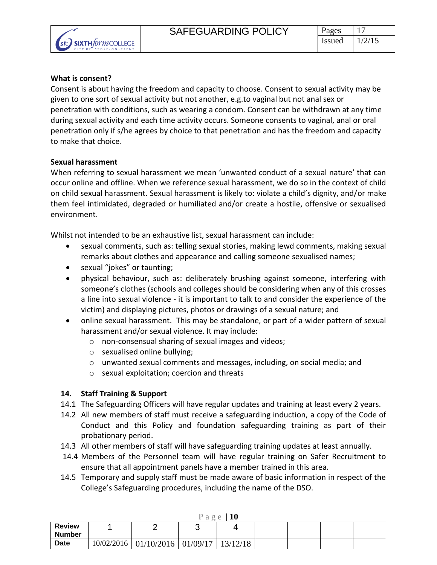## **What is consent?**

Consent is about having the freedom and capacity to choose. Consent to sexual activity may be given to one sort of sexual activity but not another, e.g.to vaginal but not anal sex or penetration with conditions, such as wearing a condom. Consent can be withdrawn at any time during sexual activity and each time activity occurs. Someone consents to vaginal, anal or oral penetration only if s/he agrees by choice to that penetration and has the freedom and capacity to make that choice.

## **Sexual harassment**

When referring to sexual harassment we mean 'unwanted conduct of a sexual nature' that can occur online and offline. When we reference sexual harassment, we do so in the context of child on child sexual harassment. Sexual harassment is likely to: violate a child's dignity, and/or make them feel intimidated, degraded or humiliated and/or create a hostile, offensive or sexualised environment.

Whilst not intended to be an exhaustive list, sexual harassment can include:

- sexual comments, such as: telling sexual stories, making lewd comments, making sexual remarks about clothes and appearance and calling someone sexualised names;
- sexual "jokes" or taunting;
- physical behaviour, such as: deliberately brushing against someone, interfering with someone's clothes (schools and colleges should be considering when any of this crosses a line into sexual violence - it is important to talk to and consider the experience of the victim) and displaying pictures, photos or drawings of a sexual nature; and
- online sexual harassment. This may be standalone, or part of a wider pattern of sexual harassment and/or sexual violence. It may include:
	- o non-consensual sharing of sexual images and videos;
	- o sexualised online bullying;
	- o unwanted sexual comments and messages, including, on social media; and
	- o sexual exploitation; coercion and threats

## **14. Staff Training & Support**

- 14.1 The Safeguarding Officers will have regular updates and training at least every 2 years.
- 14.2 All new members of staff must receive a safeguarding induction, a copy of the Code of Conduct and this Policy and foundation safeguarding training as part of their probationary period.
- 14.3 All other members of staff will have safeguarding training updates at least annually.
- 14.4 Members of the Personnel team will have regular training on Safer Recruitment to ensure that all appointment panels have a member trained in this area.
- 14.5 Temporary and supply staff must be made aware of basic information in respect of the College's Safeguarding procedures, including the name of the DSO.

|               |                         | - - -    | --       |  |  |
|---------------|-------------------------|----------|----------|--|--|
| <b>Review</b> |                         |          |          |  |  |
| <b>Number</b> |                         |          |          |  |  |
| Date          | 10/02/2016   01/10/2016 | 01/09/17 | 13/12/18 |  |  |

|  |  | 10 |
|--|--|----|
|  |  |    |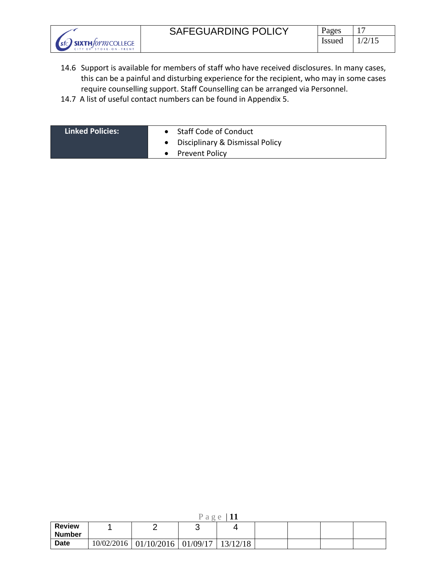- 14.6 Support is available for members of staff who have received disclosures. In many cases, this can be a painful and disturbing experience for the recipient, who may in some cases require counselling support. Staff Counselling can be arranged via Personnel.
- 14.7 A list of useful contact numbers can be found in Appendix 5.

| <b>Linked Policies:</b> | • Staff Code of Conduct<br>• Disciplinary & Dismissal Policy |
|-------------------------|--------------------------------------------------------------|
|                         | • Prevent Policy                                             |

| <b>Review</b><br><b>Number</b> |                                      |          |  |  |
|--------------------------------|--------------------------------------|----------|--|--|
| Date                           | $10/02/2016$   01/10/2016   01/09/17 | 13/12/18 |  |  |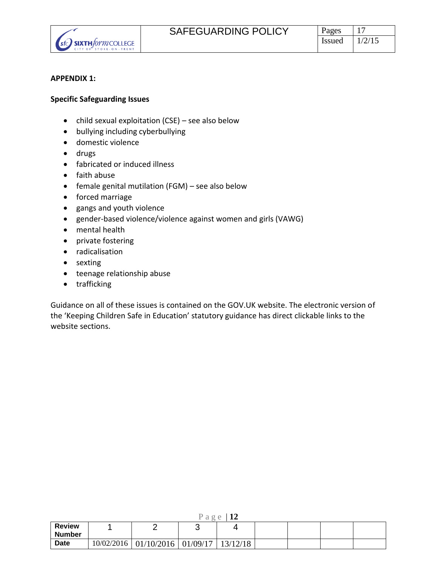

### **APPENDIX 1:**

## **Specific Safeguarding Issues**

- $\bullet$  child sexual exploitation (CSE) see also below
- bullying including cyberbullying
- domestic violence
- drugs
- fabricated or induced illness
- faith abuse
- $\bullet$  female genital mutilation (FGM) see also below
- forced marriage
- gangs and youth violence
- gender-based violence/violence against women and girls (VAWG)
- mental health
- private fostering
- radicalisation
- sexting
- teenage relationship abuse
- trafficking

Guidance on all of these issues is contained on the GOV.UK website. The electronic version of the 'Keeping Children Safe in Education' statutory guidance has direct clickable links to the website sections.

|               |            |            | __       | ____     |  |  |
|---------------|------------|------------|----------|----------|--|--|
| <b>Review</b> |            |            |          |          |  |  |
| <b>Number</b> |            |            |          |          |  |  |
| Date          | 10/02/2016 | 01/10/2016 | 01/09/17 | 13/12/18 |  |  |

P a g e | **12**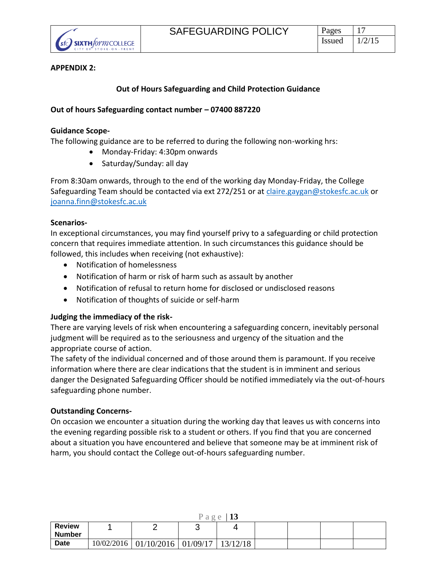

### **APPENDIX 2:**

## **Out of Hours Safeguarding and Child Protection Guidance**

### **Out of hours Safeguarding contact number – 07400 887220**

### **Guidance Scope-**

The following guidance are to be referred to during the following non-working hrs:

- Monday-Friday: 4:30pm onwards
- Saturday/Sunday: all day

From 8:30am onwards, through to the end of the working day Monday-Friday, the College Safeguarding Team should be contacted via ext 272/251 or at [claire.gaygan@stokesfc.ac.uk](mailto:claire.gaygan@stokesfc.ac.uk) or [joanna.finn@stokesfc.ac.uk](mailto:joanna.finn@stokesfc.ac.uk)

### **Scenarios-**

In exceptional circumstances, you may find yourself privy to a safeguarding or child protection concern that requires immediate attention. In such circumstances this guidance should be followed, this includes when receiving (not exhaustive):

- Notification of homelessness
- Notification of harm or risk of harm such as assault by another
- Notification of refusal to return home for disclosed or undisclosed reasons
- Notification of thoughts of suicide or self-harm

## **Judging the immediacy of the risk-**

There are varying levels of risk when encountering a safeguarding concern, inevitably personal judgment will be required as to the seriousness and urgency of the situation and the appropriate course of action.

The safety of the individual concerned and of those around them is paramount. If you receive information where there are clear indications that the student is in imminent and serious danger the Designated Safeguarding Officer should be notified immediately via the out-of-hours safeguarding phone number.

## **Outstanding Concerns-**

On occasion we encounter a situation during the working day that leaves us with concerns into the evening regarding possible risk to a student or others. If you find that you are concerned about a situation you have encountered and believe that someone may be at imminent risk of harm, you should contact the College out-of-hours safeguarding number.

| --<br>---     |            |                     |  |          |  |  |  |  |  |  |
|---------------|------------|---------------------|--|----------|--|--|--|--|--|--|
| <b>Review</b> |            |                     |  |          |  |  |  |  |  |  |
| <b>Number</b> |            |                     |  |          |  |  |  |  |  |  |
| <b>Date</b>   | 10/02/2016 | 01/10/2016 01/09/17 |  | 13/12/18 |  |  |  |  |  |  |

P a g e | **13**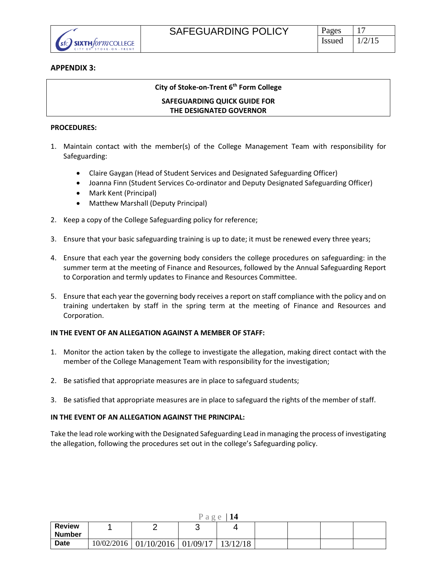

### **APPENDIX 3:**

# **City of Stoke-on-Trent 6th Form College**

### **SAFEGUARDING QUICK GUIDE FOR THE DESIGNATED GOVERNOR**

### **PROCEDURES:**

- 1. Maintain contact with the member(s) of the College Management Team with responsibility for Safeguarding:
	- Claire Gaygan (Head of Student Services and Designated Safeguarding Officer)
	- Joanna Finn (Student Services Co-ordinator and Deputy Designated Safeguarding Officer)
	- Mark Kent (Principal)
	- Matthew Marshall (Deputy Principal)
- 2. Keep a copy of the College Safeguarding policy for reference;
- 3. Ensure that your basic safeguarding training is up to date; it must be renewed every three years;
- 4. Ensure that each year the governing body considers the college procedures on safeguarding: in the summer term at the meeting of Finance and Resources, followed by the Annual Safeguarding Report to Corporation and termly updates to Finance and Resources Committee.
- 5. Ensure that each year the governing body receives a report on staff compliance with the policy and on training undertaken by staff in the spring term at the meeting of Finance and Resources and Corporation.

### **IN THE EVENT OF AN ALLEGATION AGAINST A MEMBER OF STAFF:**

- 1. Monitor the action taken by the college to investigate the allegation, making direct contact with the member of the College Management Team with responsibility for the investigation;
- 2. Be satisfied that appropriate measures are in place to safeguard students;
- 3. Be satisfied that appropriate measures are in place to safeguard the rights of the member of staff.

### **IN THE EVENT OF AN ALLEGATION AGAINST THE PRINCIPAL:**

Take the lead role working with the Designated Safeguarding Lead in managing the process of investigating the allegation, following the procedures set out in the college's Safeguarding policy.

|               |                         | - - -    | --       |  |  |
|---------------|-------------------------|----------|----------|--|--|
| <b>Review</b> |                         |          |          |  |  |
| <b>Number</b> |                         |          |          |  |  |
| <b>Date</b>   | 10/02/2016   01/10/2016 | 01/09/17 | 13/12/18 |  |  |

P a g e | **14**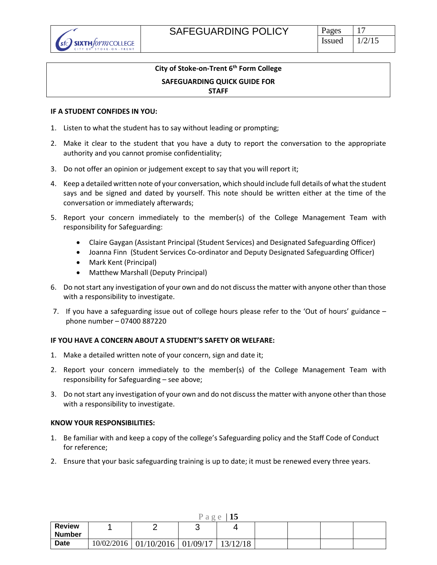

## **City of Stoke-on-Trent 6th Form College SAFEGUARDING QUICK GUIDE FOR STAFF**

### **IF A STUDENT CONFIDES IN YOU:**

- 1. Listen to what the student has to say without leading or prompting;
- 2. Make it clear to the student that you have a duty to report the conversation to the appropriate authority and you cannot promise confidentiality;
- 3. Do not offer an opinion or judgement except to say that you will report it;
- 4. Keep a detailed written note of your conversation, which should include full details of what the student says and be signed and dated by yourself. This note should be written either at the time of the conversation or immediately afterwards;
- 5. Report your concern immediately to the member(s) of the College Management Team with responsibility for Safeguarding:
	- Claire Gaygan (Assistant Principal (Student Services) and Designated Safeguarding Officer)
	- Joanna Finn (Student Services Co-ordinator and Deputy Designated Safeguarding Officer)
	- Mark Kent (Principal)
	- Matthew Marshall (Deputy Principal)
- 6. Do not start any investigation of your own and do not discuss the matter with anyone other than those with a responsibility to investigate.
- 7. If you have a safeguarding issue out of college hours please refer to the 'Out of hours' guidance phone number – 07400 887220

### **IF YOU HAVE A CONCERN ABOUT A STUDENT'S SAFETY OR WELFARE:**

- 1. Make a detailed written note of your concern, sign and date it;
- 2. Report your concern immediately to the member(s) of the College Management Team with responsibility for Safeguarding – see above;
- 3. Do not start any investigation of your own and do not discuss the matter with anyone other than those with a responsibility to investigate.

### **KNOW YOUR RESPONSIBILITIES:**

- 1. Be familiar with and keep a copy of the college's Safeguarding policy and the Staff Code of Conduct for reference;
- 2. Ensure that your basic safeguarding training is up to date; it must be renewed every three years.

| ___<br>---    |  |                                      |  |          |  |  |  |  |  |  |
|---------------|--|--------------------------------------|--|----------|--|--|--|--|--|--|
| <b>Review</b> |  |                                      |  |          |  |  |  |  |  |  |
| <b>Number</b> |  |                                      |  |          |  |  |  |  |  |  |
| <b>Date</b>   |  | $10/02/2016$   01/10/2016   01/09/17 |  | 13/12/18 |  |  |  |  |  |  |

P a g e | **15**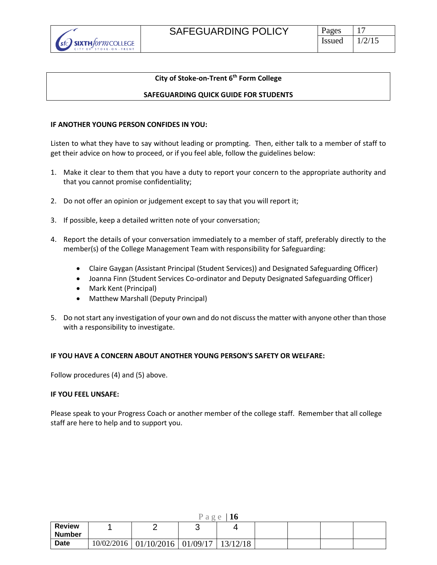

### **City of Stoke-on-Trent 6th Form College**

### **SAFEGUARDING QUICK GUIDE FOR STUDENTS**

### **IF ANOTHER YOUNG PERSON CONFIDES IN YOU:**

Listen to what they have to say without leading or prompting. Then, either talk to a member of staff to get their advice on how to proceed, or if you feel able, follow the guidelines below:

- 1. Make it clear to them that you have a duty to report your concern to the appropriate authority and that you cannot promise confidentiality;
- 2. Do not offer an opinion or judgement except to say that you will report it;
- 3. If possible, keep a detailed written note of your conversation;
- 4. Report the details of your conversation immediately to a member of staff, preferably directly to the member(s) of the College Management Team with responsibility for Safeguarding:
	- Claire Gaygan (Assistant Principal (Student Services)) and Designated Safeguarding Officer)
	- Joanna Finn (Student Services Co-ordinator and Deputy Designated Safeguarding Officer)
	- Mark Kent (Principal)
	- Matthew Marshall (Deputy Principal)
- 5. Do not start any investigation of your own and do not discussthe matter with anyone other than those with a responsibility to investigate.

### **IF YOU HAVE A CONCERN ABOUT ANOTHER YOUNG PERSON'S SAFETY OR WELFARE:**

Follow procedures (4) and (5) above.

#### **IF YOU FEEL UNSAFE:**

Please speak to your Progress Coach or another member of the college staff. Remember that all college staff are here to help and to support you.

| . .<br>. J. V |  |                         |          |          |  |  |  |  |  |  |  |
|---------------|--|-------------------------|----------|----------|--|--|--|--|--|--|--|
| <b>Review</b> |  |                         |          |          |  |  |  |  |  |  |  |
| <b>Number</b> |  |                         |          |          |  |  |  |  |  |  |  |
| Date          |  | $10/02/2016$ 01/10/2016 | 01/09/17 | 13/12/18 |  |  |  |  |  |  |  |

 $P$  a  $q \theta$  | **16**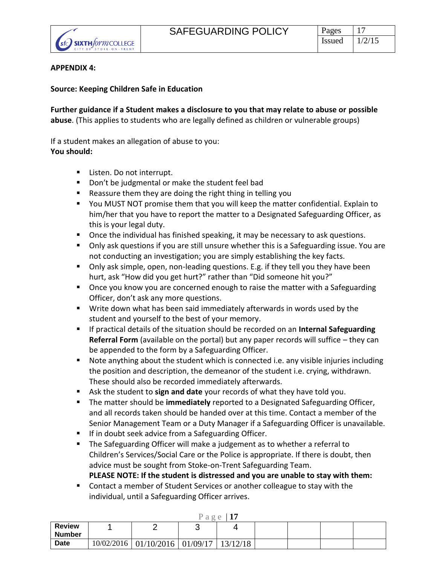

### **APPENDIX 4:**

### **Source: Keeping Children Safe in Education**

**Further guidance if a Student makes a disclosure to you that may relate to abuse or possible abuse**. (This applies to students who are legally defined as children or vulnerable groups)

If a student makes an allegation of abuse to you: **You should:**

- **Listen. Do not interrupt.**
- **Don't be judgmental or make the student feel bad**
- Reassure them they are doing the right thing in telling you
- You MUST NOT promise them that you will keep the matter confidential. Explain to him/her that you have to report the matter to a Designated Safeguarding Officer, as this is your legal duty.
- Once the individual has finished speaking, it may be necessary to ask questions.
- Only ask questions if you are still unsure whether this is a Safeguarding issue. You are not conducting an investigation; you are simply establishing the key facts.
- **Dianube** open, non-leading questions. E.g. if they tell you they have been hurt, ask "How did you get hurt?" rather than "Did someone hit you?"
- Once you know you are concerned enough to raise the matter with a Safeguarding Officer, don't ask any more questions.
- Write down what has been said immediately afterwards in words used by the student and yourself to the best of your memory.
- If practical details of the situation should be recorded on an Internal Safeguarding **Referral Form** (available on the portal) but any paper records will suffice – they can be appended to the form by a Safeguarding Officer.
- Note anything about the student which is connected i.e. any visible injuries including the position and description, the demeanor of the student i.e. crying, withdrawn. These should also be recorded immediately afterwards.
- Ask the student to **sign and date** your records of what they have told you.
- The matter should be **immediately** reported to a Designated Safeguarding Officer, and all records taken should be handed over at this time. Contact a member of the Senior Management Team or a Duty Manager if a Safeguarding Officer is unavailable.
- **If in doubt seek advice from a Safeguarding Officer.**
- **The Safeguarding Officer will make a judgement as to whether a referral to** Children's Services/Social Care or the Police is appropriate. If there is doubt, then advice must be sought from Stoke-on-Trent Safeguarding Team. **PLEASE NOTE: If the student is distressed and you are unable to stay with them:**
- **Contact a member of Student Services or another colleague to stay with the** individual, until a Safeguarding Officer arrives.

| u             |  |                           |          |          |  |  |  |  |  |  |
|---------------|--|---------------------------|----------|----------|--|--|--|--|--|--|
| <b>Review</b> |  |                           |          |          |  |  |  |  |  |  |
| <b>Number</b> |  |                           |          |          |  |  |  |  |  |  |
| Date          |  | $10/02/2016$   01/10/2016 | 01/09/17 | 13/12/18 |  |  |  |  |  |  |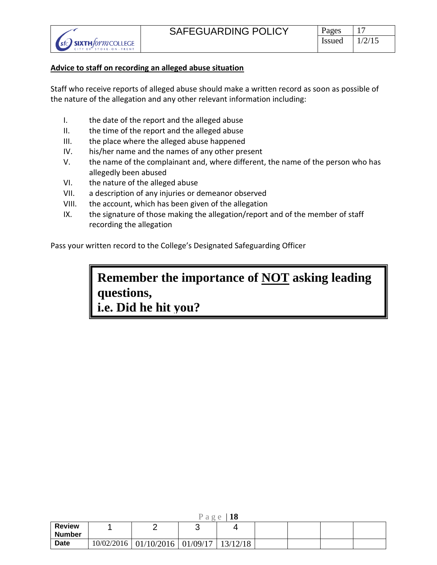

## **Advice to staff on recording an alleged abuse situation**

Staff who receive reports of alleged abuse should make a written record as soon as possible of the nature of the allegation and any other relevant information including:

- I. the date of the report and the alleged abuse
- II. the time of the report and the alleged abuse
- III. the place where the alleged abuse happened
- IV. his/her name and the names of any other present
- V. the name of the complainant and, where different, the name of the person who has allegedly been abused
- VI. the nature of the alleged abuse
- VII. a description of any injuries or demeanor observed
- VIII. the account, which has been given of the allegation
- IX. the signature of those making the allegation/report and of the member of staff recording the allegation

Pass your written record to the College's Designated Safeguarding Officer

**Remember the importance of NOT asking leading questions, i.e. Did he hit you?**

| -----         |            |                       |  |          |  |  |  |  |  |  |
|---------------|------------|-----------------------|--|----------|--|--|--|--|--|--|
| <b>Review</b> |            |                       |  |          |  |  |  |  |  |  |
| <b>Number</b> |            |                       |  |          |  |  |  |  |  |  |
| <b>Date</b>   | 10/02/2016 | $01/10/2016$ 01/09/17 |  | 13/12/18 |  |  |  |  |  |  |

P a g e | **18**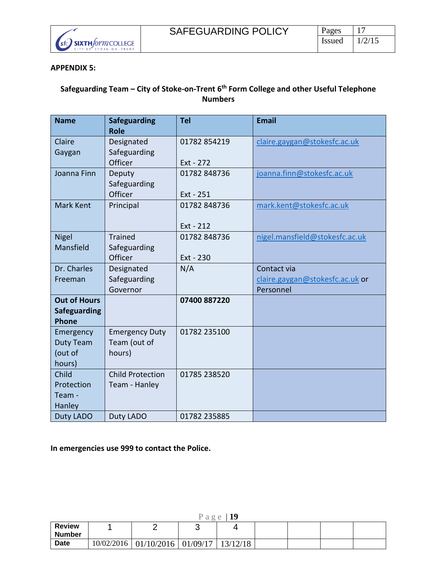

### **APPENDIX 5:**

# **Safeguarding Team – City of Stoke-on-Trent 6th Form College and other Useful Telephone Numbers**

| <b>Name</b>         | <b>Safeguarding</b><br><b>Role</b> | <b>Tel</b>   | <b>Email</b>                    |
|---------------------|------------------------------------|--------------|---------------------------------|
| Claire              | Designated                         | 01782 854219 | claire.gaygan@stokesfc.ac.uk    |
| Gaygan              | Safeguarding                       |              |                                 |
|                     | Officer                            | Ext - 272    |                                 |
| Joanna Finn         | Deputy                             | 01782 848736 | joanna.finn@stokesfc.ac.uk      |
|                     | Safeguarding                       |              |                                 |
|                     | Officer                            | Ext - 251    |                                 |
| <b>Mark Kent</b>    | Principal                          | 01782 848736 | mark.kent@stokesfc.ac.uk        |
|                     |                                    |              |                                 |
|                     |                                    | Ext - 212    |                                 |
| Nigel               | <b>Trained</b>                     | 01782 848736 | nigel.mansfield@stokesfc.ac.uk  |
| Mansfield           | Safeguarding                       |              |                                 |
|                     | Officer                            | Ext - 230    |                                 |
| Dr. Charles         | Designated                         | N/A          | Contact via                     |
| Freeman             | Safeguarding                       |              | claire.gaygan@stokesfc.ac.uk or |
|                     | Governor                           |              | Personnel                       |
| <b>Out of Hours</b> |                                    | 07400 887220 |                                 |
| <b>Safeguarding</b> |                                    |              |                                 |
| <b>Phone</b>        |                                    |              |                                 |
| Emergency           | <b>Emergency Duty</b>              | 01782 235100 |                                 |
| <b>Duty Team</b>    | Team (out of                       |              |                                 |
| (out of             | hours)                             |              |                                 |
| hours)              |                                    |              |                                 |
| Child               | <b>Child Protection</b>            | 01785 238520 |                                 |
| Protection          | Team - Hanley                      |              |                                 |
| Team -              |                                    |              |                                 |
| Hanley              |                                    | 01782 235885 |                                 |
| <b>Duty LADO</b>    | Duty LADO                          |              |                                 |

**In emergencies use 999 to contact the Police.**

| u<br>-        |            |            |          |          |  |  |  |  |  |
|---------------|------------|------------|----------|----------|--|--|--|--|--|
| <b>Review</b> |            |            | ັ        |          |  |  |  |  |  |
| <b>Number</b> |            |            |          |          |  |  |  |  |  |
| Date          | 10/02/2016 | 01/10/2016 | 01/09/17 | 13/12/18 |  |  |  |  |  |

P a g e | **19**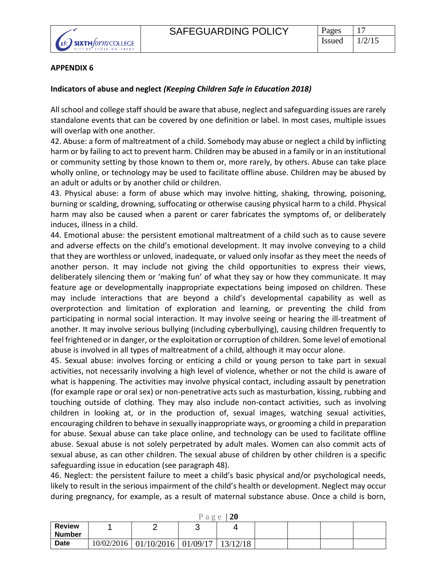

### **APPENDIX 6**

## **Indicators of abuse and neglect** *(Keeping Children Safe in Education 2018)*

All school and college staff should be aware that abuse, neglect and safeguarding issues are rarely standalone events that can be covered by one definition or label. In most cases, multiple issues will overlap with one another.

42. Abuse: a form of maltreatment of a child. Somebody may abuse or neglect a child by inflicting harm or by failing to act to prevent harm. Children may be abused in a family or in an institutional or community setting by those known to them or, more rarely, by others. Abuse can take place wholly online, or technology may be used to facilitate offline abuse. Children may be abused by an adult or adults or by another child or children.

43. Physical abuse: a form of abuse which may involve hitting, shaking, throwing, poisoning, burning or scalding, drowning, suffocating or otherwise causing physical harm to a child. Physical harm may also be caused when a parent or carer fabricates the symptoms of, or deliberately induces, illness in a child.

44. Emotional abuse: the persistent emotional maltreatment of a child such as to cause severe and adverse effects on the child's emotional development. It may involve conveying to a child that they are worthless or unloved, inadequate, or valued only insofar as they meet the needs of another person. It may include not giving the child opportunities to express their views, deliberately silencing them or 'making fun' of what they say or how they communicate. It may feature age or developmentally inappropriate expectations being imposed on children. These may include interactions that are beyond a child's developmental capability as well as overprotection and limitation of exploration and learning, or preventing the child from participating in normal social interaction. It may involve seeing or hearing the ill-treatment of another. It may involve serious bullying (including cyberbullying), causing children frequently to feel frightened or in danger, or the exploitation or corruption of children. Some level of emotional abuse is involved in all types of maltreatment of a child, although it may occur alone.

45. Sexual abuse: involves forcing or enticing a child or young person to take part in sexual activities, not necessarily involving a high level of violence, whether or not the child is aware of what is happening. The activities may involve physical contact, including assault by penetration (for example rape or oral sex) or non-penetrative acts such as masturbation, kissing, rubbing and touching outside of clothing. They may also include non-contact activities, such as involving children in looking at, or in the production of, sexual images, watching sexual activities, encouraging children to behave in sexually inappropriate ways, or grooming a child in preparation for abuse. Sexual abuse can take place online, and technology can be used to facilitate offline abuse. Sexual abuse is not solely perpetrated by adult males. Women can also commit acts of sexual abuse, as can other children. The sexual abuse of children by other children is a specific safeguarding issue in education (see paragraph 48).

46. Neglect: the persistent failure to meet a child's basic physical and/or psychological needs, likely to result in the serious impairment of the child's health or development. Neglect may occur during pregnancy, for example, as a result of maternal substance abuse. Once a child is born,

| . .<br>--     |            |            |          |         |  |  |  |  |  |
|---------------|------------|------------|----------|---------|--|--|--|--|--|
| <b>Review</b> |            |            |          |         |  |  |  |  |  |
| <b>Number</b> |            |            |          |         |  |  |  |  |  |
| <b>Date</b>   | 10/02/2016 | 01/10/2016 | 01/09/17 | 3/12/18 |  |  |  |  |  |

P a g e | **20**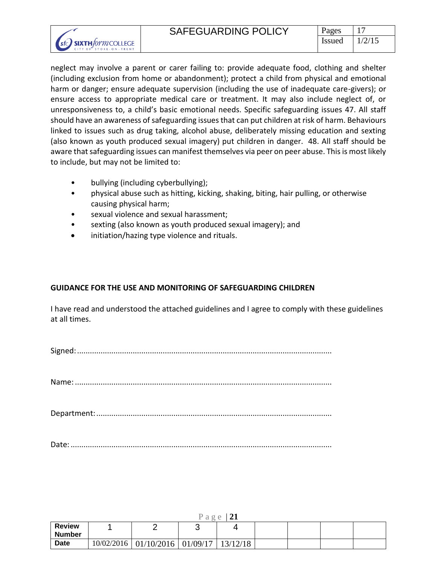

neglect may involve a parent or carer failing to: provide adequate food, clothing and shelter (including exclusion from home or abandonment); protect a child from physical and emotional harm or danger; ensure adequate supervision (including the use of inadequate care-givers); or ensure access to appropriate medical care or treatment. It may also include neglect of, or unresponsiveness to, a child's basic emotional needs. Specific safeguarding issues 47. All staff should have an awareness of safeguarding issues that can put children at risk of harm. Behaviours linked to issues such as drug taking, alcohol abuse, deliberately missing education and sexting (also known as youth produced sexual imagery) put children in danger. 48. All staff should be aware that safeguarding issues can manifest themselves via peer on peer abuse. This is most likely to include, but may not be limited to:

- bullying (including cyberbullying);
- physical abuse such as hitting, kicking, shaking, biting, hair pulling, or otherwise causing physical harm;
- sexual violence and sexual harassment;
- sexting (also known as youth produced sexual imagery); and
- initiation/hazing type violence and rituals.

# **GUIDANCE FOR THE USE AND MONITORING OF SAFEGUARDING CHILDREN**

I have read and understood the attached guidelines and I agree to comply with these guidelines at all times.

Signed:.......................................................................................................................

Name: ........................................................................................................................

Department:..............................................................................................................

Date: ..........................................................................................................................

| $a \le$<br>◢                   |  |                                    |  |          |  |  |  |  |  |
|--------------------------------|--|------------------------------------|--|----------|--|--|--|--|--|
| <b>Review</b><br><b>Number</b> |  |                                    |  |          |  |  |  |  |  |
| <b>Date</b>                    |  | 10/02/2016   01/10/2016   01/09/17 |  | 13/12/18 |  |  |  |  |  |

 $P$  a  $\sigma$   $\approx$  | 21